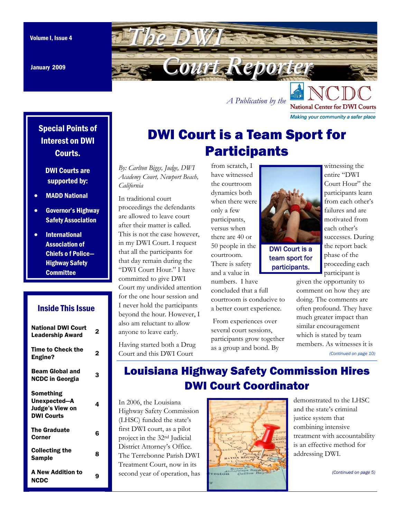January 2009

<span id="page-0-0"></span>

*A Publication by the* 

**National Center for DWI Courts** Making your community a safer place

Special Points of Interest on DWI Courts.

#### DWI Courts are supported by:

- MADD National
- Governor's Highway Safety Association
- International Association of Chiefs o f Police— Highway Safety **Committee**

### Inside This Issue

| <b>National DWI Court</b><br><b>Leadership Award</b>              | 2 |
|-------------------------------------------------------------------|---|
| <b>Time to Check the</b><br>Engine?                               | 2 |
| Beam Global and<br>NCDC in Georgia                                | 3 |
| Something<br>Unexpected—A<br>Judge's View on<br><b>DWI Courts</b> | 4 |
| <b>The Graduate</b><br>Corner                                     | Բ |
| Collecting the<br><b>Sample</b>                                   | 8 |
| <b>A New Addition to</b><br>NCDC                                  |   |

# DWI Court is a Team Sport for **Participants**

*By: Carlton Biggs, Judge, DWI Academy Court, Newport Beach, California*

In traditional court proceedings the defendants are allowed to leave court after their matter is called. This is not the case however, in my DWI Court. I request that all the participants for that day remain during the "DWI Court Hour." I have committed to give DWI Court my undivided attention for the one hour session and I never hold the participants beyond the hour. However, I also am reluctant to allow anyone to leave early.

Having started both a Drug Court and this DWI Court

from scratch, I have witnessed the courtroom dynamics both when there were only a few participants, versus when there are 40 or 50 people in the courtroom. There is safety and a value in numbers. I have

concluded that a full courtroom is conducive to a better court experience.

 From experiences over several court sessions, participants grow together as a group and bond. By



team sport for participants.

entire "DWI Court Hour" the participants learn from each other's failures and are motivated from each other's successes. During the report back phase of the proceeding each participant is

given the opportunity to comment on how they are doing. The comments are often profound. They have much greater impact than similar encouragement which is stated by team members. As witnesses it is *[\(Continued on page 10\)](#page-9-0)* 

Louisiana Highway Safety Commission Hires DWI Court Coordinator

In 2006, the Louisiana Highway Safety Commission (LHSC) funded the state's first DWI court, as a pilot project in the 32nd Judicial District Attorney's Office. The Terrebonne Parish DWI Treatment Court, now in its second year of operation, has



demonstrated to the LHSC and the state's criminal justice system that combining intensive treatment with accountability is an effective method for addressing DWI.

*[\(Continued on page 5\)](#page-4-0)*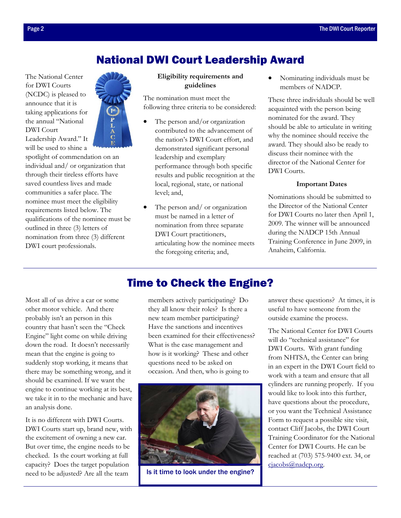## National DWI Court Leadership Award

<span id="page-1-0"></span>The National Center for DWI Courts (NCDC) is pleased to announce that it is taking applications for the annual "National DWI Court Leadership Award." It will be used to shine a



spotlight of commendation on an individual and/ or organization that through their tireless efforts have saved countless lives and made communities a safer place. The nominee must meet the eligibility requirements listed below. The qualifications of the nominee must be outlined in three (3) letters of nomination from three (3) different DWI court professionals.

#### **Eligibility requirements and guidelines**

The nomination must meet the following three criteria to be considered:

- The person and/or organization contributed to the advancement of the nation's DWI Court effort, and demonstrated significant personal leadership and exemplary performance through both specific results and public recognition at the local, regional, state, or national level; and,
- The person and/ or organization must be named in a letter of nomination from three separate DWI Court practitioners, articulating how the nominee meets the foregoing criteria; and,

• Nominating individuals must be members of NADCP.

These three individuals should be well acquainted with the person being nominated for the award. They should be able to articulate in writing why the nominee should receive the award. They should also be ready to discuss their nominee with the director of the National Center for DWI Courts.

#### **Important Dates**

Nominations should be submitted to the Director of the National Center for DWI Courts no later then April 1, 2009. The winner will be announced during the NADCP 15th Annual Training Conference in June 2009, in Anaheim, California.

Most all of us drive a car or some other motor vehicle. And there probably isn't an person in this country that hasn't seen the "Check Engine" light come on while driving down the road. It doesn't necessarily mean that the engine is going to suddenly stop working, it means that there may be something wrong, and it should be examined. If we want the engine to continue working at its best, we take it in to the mechanic and have an analysis done.

It is no different with DWI Courts. DWI Courts start up, brand new, with the excitement of owning a new car. But over time, the engine needs to be checked. Is the court working at full capacity? Does the target population need to be adjusted? Are all the team

## Time to Check the Engine?

members actively participating? Do they all know their roles? Is there a new team member participating? Have the sanctions and incentives been examined for their effectiveness? What is the case management and how is it working? These and other questions need to be asked on occasion. And then, who is going to



Is it time to look under the engine?

answer these questions? At times, it is useful to have someone from the outside examine the process.

The National Center for DWI Courts will do "technical assistance" for DWI Courts. With grant funding from NHTSA, the Center can bring in an expert in the DWI Court field to work with a team and ensure that all cylinders are running properly. If you would like to look into this further, have questions about the procedure, or you want the Technical Assistance Form to request a possible site visit, contact Cliff Jacobs, the DWI Court Training Coordinator for the National Center for DWI Courts. He can be reached at (703) 575-9400 ext. 34, or cjacobs@nadcp.org.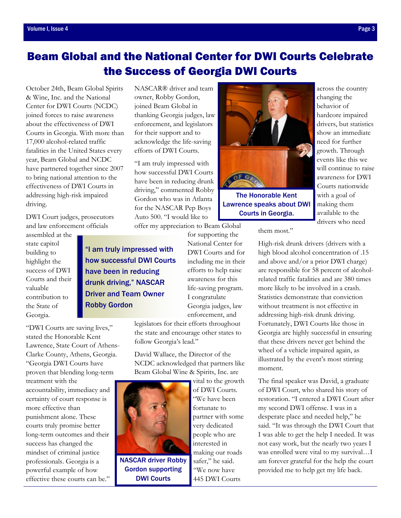# <span id="page-2-0"></span>Beam Global and the National Center for DWI Courts Celebrate the Success of Georgia DWI Courts

October 24th, Beam Global Spirits & Wine, Inc. and the National Center for DWI Courts (NCDC) joined forces to raise awareness about the effectiveness of DWI Courts in Georgia. With more than 17,000 alcohol-related traffic fatalities in the United States every year, Beam Global and NCDC have partnered together since 2007 to bring national attention to the effectiveness of DWI Courts in addressing high-risk impaired driving.

DWI Court judges, prosecutors and law enforcement officials

assembled at the state capitol building to highlight the success of DWI Courts and their valuable contribution to the State of Georgia.

"DWI Courts are saving lives," stated the Honorable Kent Lawrence, State Court of Athens-Clarke County, Athens, Georgia. "Georgia DWI Courts have proven that blending long-term treatment with the accountability, immediacy and certainty of court response is more effective than punishment alone. These courts truly promise better long-term outcomes and their success has changed the mindset of criminal justice professionals. Georgia is a powerful example of how effective these courts can be."

NASCAR® driver and team owner, Robby Gordon, joined Beam Global in thanking Georgia judges, law enforcement, and legislators for their support and to acknowledge the life-saving efforts of DWI Courts.

"I am truly impressed with how successful DWI Courts have been in reducing drunk driving," commented Robby Gordon who was in Atlanta for the NASCAR Pep Boys Auto 500. "I would like to offer my appreciation to Beam Global

for supporting the National Center for DWI Courts and for including me in their efforts to help raise awareness for this life-saving program. "I am truly impressed with how successful DWI Courts drunk driving," NASCAR Driver and Team Owner

I congratulate Georgia judges, law enforcement, and legislators for their efforts throughout

the state and encourage other states to follow Georgia's lead."

David Wallace, the Director of the NCDC acknowledged that partners like Beam Global Wine & Spirits, Inc. are



have been in reducing

Robby Gordon

NASCAR driver Robby Gordon supporting DWI Courts

vital to the growth of DWI Courts. "We have been fortunate to partner with some very dedicated people who are interested in making our roads safer," he said. "We now have 445 DWI Courts



The Honorable Kent Lawrence speaks about DWI Courts in Georgia.

across the country changing the behavior of hardcore impaired drivers, but statistics show an immediate need for further growth. Through events like this we will continue to raise awareness for DWI Courts nationwide with a goal of making them available to the drivers who need

them most."

High-risk drunk drivers (drivers with a high blood alcohol concentration of .15 and above and/or a prior DWI charge) are responsible for 58 percent of alcoholrelated traffic fatalities and are 380 times more likely to be involved in a crash. Statistics demonstrate that conviction without treatment is not effective in addressing high-risk drunk driving. Fortunately, DWI Courts like those in Georgia are highly successful in ensuring that these drivers never get behind the wheel of a vehicle impaired again, as illustrated by the event's most stirring moment.

The final speaker was David, a graduate of DWI Court, who shared his story of restoration. "I entered a DWI Court after my second DWI offense. I was in a desperate place and needed help," he said. "It was through the DWI Court that I was able to get the help I needed. It was not easy work, but the nearly two years I was enrolled were vital to my survival…I am forever grateful for the help the court provided me to help get my life back.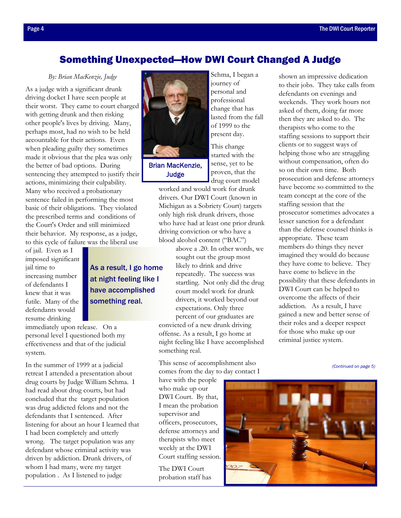shown an impressive dedication to their jobs. They take calls from

### <span id="page-3-0"></span>Something Unexpected—How DWI Court Changed A Judge

*By: Brian MacKenzie, Judge* 

As a judge with a significant drunk driving docket I have seen people at their worst. They came to court charged with getting drunk and then risking other people's lives by driving. Many, perhaps most, had no wish to be held accountable for their actions. Even when pleading guilty they sometimes made it obvious that the plea was only the better of bad options. During sentencing they attempted to justify their actions, minimizing their culpability. Many who received a probationary sentence failed in performing the most basic of their obligations. They violated the prescribed terms and conditions of the Court's Order and still minimized their behavior. My response, as a judge, to this cycle of failure was the liberal use

> As a result, I go home at night feeling like I have accomplished

something real.

of jail. Even as I imposed significant jail time to increasing number of defendants I knew that it was futile. Many of the defendants would resume drinking

immediately upon release. On a personal level I questioned both my effectiveness and that of the judicial system.

In the summer of 1999 at a judicial retreat I attended a presentation about drug courts by Judge William Schma. I had read about drug courts, but had concluded that the target population was drug addicted felons and not the defendants that I sentenced. After listening for about an hour I learned that I had been completely and utterly wrong. The target population was any defendant whose criminal activity was driven by addiction. Drunk drivers, of whom I had many, were my target population . As I listened to judge

Brian MacKenzie, Judge

Schma, I began a journey of personal and professional change that has lasted from the fall of 1999 to the present day.

This change started with the sense, yet to be proven, that the drug court model

worked and would work for drunk drivers. Our DWI Court (known in Michigan as a Sobriety Court) targets only high risk drunk drivers, those who have had at least one prior drunk driving conviction or who have a blood alcohol content ("BAC")

> above a .20. In other words, we sought out the group most likely to drink and drive repeatedly. The success was startling. Not only did the drug court model work for drunk drivers, it worked beyond our expectations. Only three percent of our graduates are

convicted of a new drunk driving offense. As a result, I go home at night feeling like I have accomplished something real.

This sense of accomplishment also comes from the day to day contact I

have with the people who make up our DWI Court. By that, I mean the probation supervisor and officers, prosecutors, defense attorneys and therapists who meet weekly at the DWI Court staffing session.

The DWI Court probation staff has



defendants on evenings and weekends. They work hours not asked of them, doing far more then they are asked to do. The therapists who come to the staffing sessions to support their clients or to suggest ways of helping those who are struggling without compensation, often do so on their own time. Both prosecution and defense attorneys have become so committed to the team concept at the core of the staffing session that the prosecutor sometimes advocates a lesser sanction for a defendant than the defense counsel thinks is appropriate. These team members do things they never imagined they would do because they have come to believe. They have come to believe in the possibility that these defendants in DWI Court can be helped to overcome the affects of their addiction. As a result, I have gained a new and better sense of their roles and a deeper respect for those who make up our criminal justice system.

*[\(Continued on page 5\)](#page-4-0)* 

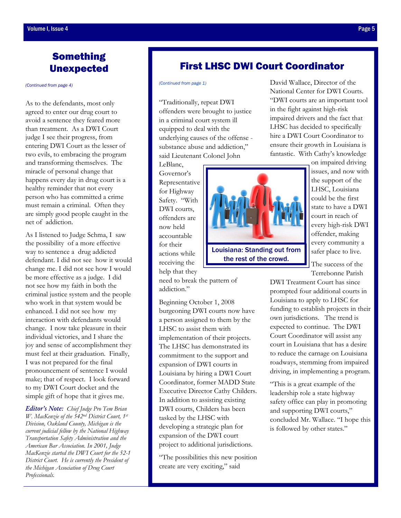## <span id="page-4-0"></span>Something Unexpected

*[\(Continued from page 4\)](#page-3-0)* 

As to the defendants, most only agreed to enter our drug court to avoid a sentence they feared more than treatment. As a DWI Court judge I see their progress, from entering DWI Court as the lesser of two evils, to embracing the program and transforming themselves. The miracle of personal change that happens every day in drug court is a healthy reminder that not every person who has committed a crime must remain a criminal. Often they are simply good people caught in the net of addiction.

As I listened to Judge Schma, I saw the possibility of a more effective way to sentence a drug addicted defendant. I did not see how it would change me. I did not see how I would be more effective as a judge. I did not see how my faith in both the criminal justice system and the people who work in that system would be enhanced. I did not see how my interaction with defendants would change. I now take pleasure in their individual victories, and I share the joy and sense of accomplishment they must feel at their graduation. Finally, I was not prepared for the final pronouncement of sentence I would make; that of respect. I look forward to my DWI Court docket and the simple gift of hope that it gives me.

*Editor's Note: Chief Judge Pro Tem Brian W. MacKenzie of the 542nd District Court, 1st Division, Oakland County, Michigan is the current judicial fellow by the National Highway Transportation Safety Administration and the American Bar Association. In 2001, Judge MacKenzie started the DWI Court for the 52-1 District Court. He is currently the President of the Michigan Association of Drug Court Professionals.*

#### First LHSC DWI Court Coordinator

"Traditionally, repeat DWI offenders were brought to justice in a criminal court system ill equipped to deal with the underlying causes of the offense substance abuse and addiction," said Lieutenant Colonel John

LeBlanc, Governor's Representative for Highway Safety. "With DWI courts, offenders are now held accountable for their actions while receiving the help that they

need to break the pattern of addiction."

Beginning October 1, 2008 burgeoning DWI courts now have a person assigned to them by the LHSC to assist them with implementation of their projects. The LHSC has demonstrated its commitment to the support and expansion of DWI courts in Louisiana by hiring a DWI Court Coordinator, former MADD State Executive Director Cathy Childers. In addition to assisting existing DWI courts, Childers has been tasked by the LHSC with developing a strategic plan for expansion of the DWI court project to additional jurisdictions.

"The possibilities this new position create are very exciting," said

*[\(Continued from page 1\)](#page-0-0)* David Wallace, Director of the National Center for DWI Courts. "DWI courts are an important tool in the fight against high-risk impaired drivers and the fact that LHSC has decided to specifically hire a DWI Court Coordinator to ensure their growth in Louisiana is fantastic. With Cathy's knowledge

Louisiana: Standing out from

the support of the LHSC, Louisiana could be the first state to have a DWI court in reach of every high-risk DWI offender, making every community a safer place to live.

on impaired driving issues, and now with

The success of the Terrebonne Parish

DWI Treatment Court has since prompted four additional courts in Louisiana to apply to LHSC for funding to establish projects in their own jurisdictions. The trend is expected to continue. The DWI Court Coordinator will assist any court in Louisiana that has a desire to reduce the carnage on Louisiana roadways, stemming from impaired driving, in implementing a program.

"This is a great example of the leadership role a state highway safety office can play in promoting and supporting DWI courts," concluded Mr. Wallace. "I hope this is followed by other states."

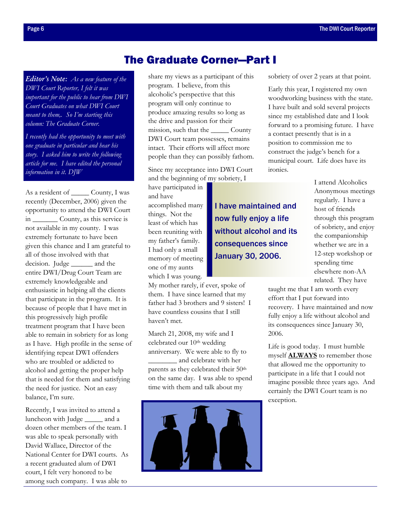<span id="page-5-0"></span>*Editor's Note: As a new feature of the DWI Court Reporter, I felt it was important for the public to hear from DWI Court Graduates on what DWI Court meant to them,. So I'm starting this column: The Graduate Corner.* 

*I recently had the opportunity to meet with one graduate in particular and hear his story. I asked him to write the following article for me. I have edited the personal information in it. DJW* 

As a resident of \_\_\_\_\_\_\_ County, I was recently (December, 2006) given the opportunity to attend the DWI Court in \_\_\_\_\_\_\_ County, as this service is not available in my county. I was extremely fortunate to have been given this chance and I am grateful to all of those involved with that decision. Judge and the entire DWI/Drug Court Team are extremely knowledgeable and enthusiastic in helping all the clients that participate in the program. It is because of people that I have met in this progressively high profile treatment program that I have been able to remain in sobriety for as long as I have. High profile in the sense of identifying repeat DWI offenders who are troubled or addicted to alcohol and getting the proper help that is needed for them and satisfying the need for justice. Not an easy balance, I'm sure.

Recently, I was invited to attend a luncheon with Judge and a dozen other members of the team. I was able to speak personally with David Wallace, Director of the National Center for DWI courts. As a recent graduated alum of DWI court, I felt very honored to be among such company. I was able to

## The Graduate Corner—Part I

share my views as a participant of this program. I believe, from this alcoholic's perspective that this program will only continue to produce amazing results so long as the drive and passion for their mission, such that the \_\_\_\_\_ County DWI Court team possesses, remains intact. Their efforts will affect more people than they can possibly fathom.

Since my acceptance into DWI Court and the beginning of my sobriety, I

I have maintained and

now fully enjoy a life without alcohol and its

consequences since

January 30, 2006.

have participated in and have accomplished many things. Not the least of which has been reuniting with my father's family. I had only a small memory of meeting one of my aunts which I was young.

My mother rarely, if ever, spoke of them. I have since learned that my father had 3 brothers and 9 sisters! I have countless cousins that I still haven't met.

March 21, 2008, my wife and I celebrated our 10<sup>th</sup> wedding anniversary. We were able to fly to \_\_\_\_\_\_\_\_ and celebrate with her parents as they celebrated their 50<sup>th</sup> on the same day. I was able to spend time with them and talk about my



sobriety of over 2 years at that point.

Early this year, I registered my own woodworking business with the state. I have built and sold several projects since my established date and I look forward to a promising future. I have a contact presently that is in a position to commission me to construct the judge's bench for a municipal court. Life does have its ironies.

> I attend Alcoholics Anonymous meetings regularly. I have a host of friends through this program of sobriety, and enjoy the companionship whether we are in a 12-step workshop or spending time elsewhere non-AA related. They have

taught me that I am worth every effort that I put forward into recovery. I have maintained and now fully enjoy a life without alcohol and its consequences since January 30, 2006.

Life is good today. I must humble myself **ALWAYS** to remember those that allowed me the opportunity to participate in a life that I could not imagine possible three years ago. And certainly the DWI Court team is no exception.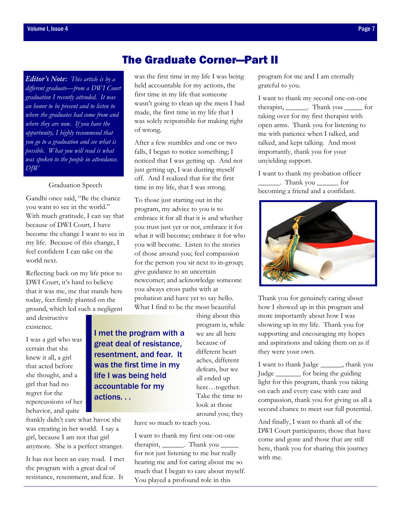*Editor's Note: This article is by a different graduate—from a DWI Court graduation I recently attended. It was an honor to be present and to listen to where the graduates had come from and where they are now. If you have the opportunity, I highly recommend that you go to a graduation and see what is possible. What you will read is what was spoken to the people in attendance. DJW* 

Graduation Speech

Gandhi once said, "Be the chance you want to see in the world." With much gratitude, I can say that because of DWI Court, I have become the change I want to see in my life. Because of this change, I feel confident I can take on the world next.

Reflecting back on my life prior to DWI Court, it's hard to believe that it was me, me that stands here today, feet firmly planted on the ground, which led such a negligent

and destructive existence.

I was a girl who was certain that she knew it all, a girl that acted before she thought, and a girl that had no regret for the repercussions of her behavior, and quite

frankly didn't care what havoc she was creating in her world. I say a girl, because I am not that girl anymore. She is a perfect stranger.

It has not been an easy road. I met the program with a great deal of resistance, resentment, and fear. It

## The Graduate Corner—Part II

was the first time in my life I was being held accountable for my actions, the first time in my life that someone wasn't going to clean up the mess I had made, the first time in my life that I was solely responsible for making right of wrong.

After a few stumbles and one or two falls, I began to notice something; I noticed that I was getting up. And not just getting up, I was dusting myself off. And I realized that for the first time in my life, that I was strong.

To those just starting out in the program, my advice to you is to embrace it for all that it is and whether you trust just yet or not, embrace it for what it will become; embrace it for who you will become. Listen to the stories of those around you; feel compassion for the person you sit next to in-group; give guidance to an uncertain newcomer; and acknowledge someone you always cross paths with at probation and have yet to say hello. What I find to be the most beautiful

I met the program with a great deal of resistance, resentment, and fear. It was the first time in my life I was being held accountable for my actions. . .

thing about this program is, while we are all here because of different heart aches, different defeats, but we all ended up here…together. Take the time to look at those around you; they

have so much to teach you.

I want to thank my first one-on-one therapist, \_\_\_\_\_\_\_. Thank you \_\_\_\_\_\_\_. for not just listening to me but really hearing me and for caring about me so much that I began to care about myself. You played a profound role in this

program for me and I am eternally grateful to you.

I want to thank my second one-on-one therapist, \_\_\_\_\_\_. Thank you \_\_\_\_\_ for taking over for my first therapist with open arms. Thank you for listening to me with patience when I talked, and talked, and kept talking. And most importantly, thank you for your unyielding support.

I want to thank my probation officer \_\_\_\_\_\_. Thank you \_\_\_\_\_\_ for becoming a friend and a confidant.



Thank you for genuinely caring about how I showed up in this program and more importantly about how I was showing up in my life. Thank you for supporting and encouraging my hopes and aspirations and taking them on as if they were your own.

I want to thank Judge \_\_\_\_\_\_, thank you Judge \_\_\_\_\_\_\_ for being the guiding light for this program, thank you taking on each and every case with care and compassion, thank you for giving us all a second chance to meet our full potential.

And finally, I want to thank all of the DWI Court participants; those that have come and gone and those that are still here, thank you for sharing this journey with me.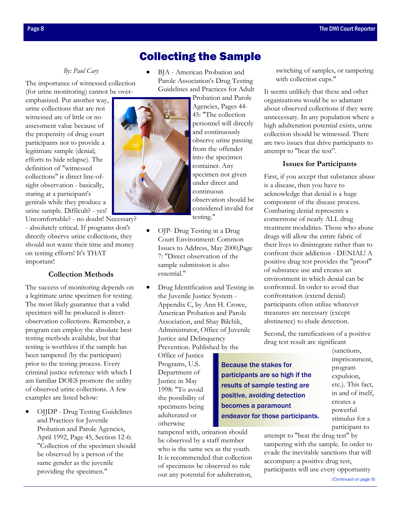## Collecting the Sample

#### *By: Paul Cary*

<span id="page-7-0"></span>The importance of witnessed collection (for urine monitoring) cannot be over-

emphasized. Put another way, urine collections that are not witnessed are of little or no assessment value because of the propensity of drug court participants not to provide a legitimate sample (denial; efforts to hide relapse). The definition of "witnessed collections" is direct line-ofsight observation - basically, staring at a participant's genitals while they produce a urine sample. Difficult? - yes!

Uncomfortable? - no doubt! Necessary? - absolutely critical. If programs don't directly observe urine collections, they should not waste their time and money on testing efforts! It's THAT important!

#### **Collection Methods**

The success of monitoring depends on a legitimate urine specimen for testing. The most likely guarantee that a valid specimen will be produced is directobservation collections. Remember, a program can employ the absolute best testing methods available, but that testing is worthless if the sample has been tampered (by the participant) prior to the testing process. Every criminal justice reference with which I am familiar DOES promote the utility of observed urine collections. A few examples are listed below:

• OJJDP - Drug Testing Guidelines and Practices for Juvenile Probation and Parole Agencies, April 1992, Page 45, Section 12-6: "Collection of the specimen should be observed by a person of the same gender as the juvenile providing the specimen."

• BJA - American Probation and Parole Association's Drug Testing Guidelines and Practices for Adult

> Probation and Parole Agencies, Pages 44- 45: "The collection personnel will directly and continuously observe urine passing from the offender into the specimen container. Any specimen not given under direct and continuous observation should be considered invalid for testing."

- OJP- Drug Testing in a Drug Court Environment: Common Issues to Address, May 2000,Page 7: "Direct observation of the sample submission is also essential."
- Drug Identification and Testing in the Juvenile Justice System - Appendix C, by Ann H. Crowe, American Probation and Parole Association, and Shay Bilchik, Administrator, Office of Juvenile Justice and Delinquency Prevention. Published by the

Because the stakes for

participants are so high if the results of sample testing are positive, avoiding detection becomes a paramount

endeavor for those participants.

Office of Justice Programs, U.S. Department of Justice in May 1998: "To avoid the possibility of specimens being adulterated or otherwise

tampered with, urination should be observed by a staff member who is the same sex as the youth. It is recommended that collection of specimens be observed to rule out any potential for adulteration,

switching of samples, or tampering with collection cups."

It seems unlikely that these and other organizations would be so adamant about observed collections if they were unnecessary. In any population where a high adulteration potential exists, urine collection should be witnessed. There are two issues that drive participants to attempt to "beat the test".

#### **Issues for Participants**

First, if you accept that substance abuse is a disease, then you have to acknowledge that denial is a huge component of the disease process. Combating denial represents a cornerstone of nearly ALL drug treatment modalities. Those who abuse drugs will allow the entire fabric of their lives to disintegrate rather than to confront their addiction - DENIAL! A positive drug test provides the "proof" of substance use and creates an environment in which denial can be confronted. In order to avoid that confrontation (extend denial) participants often utilize whatever measures are necessary (except abstinence) to elude detection.

Second, the ramifications of a positive drug test result are significant

(sanctions, imprisonment, program expulsion, etc.). This fact, in and of itself, creates a powerful stimulus for a participant to

attempt to "beat the drug test" by tampering with the sample. In order to evade the inevitable sanctions that will accompany a positive drug test, participants will use every opportunity *[\(Continued on page 9\)](#page-8-0)* 

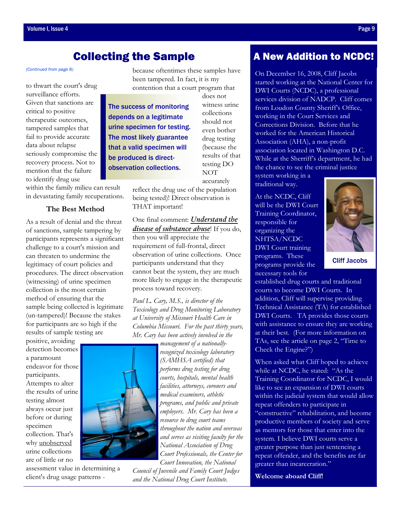## Collecting the Sample

to thwart the court's drug surveillance efforts. Given that sanctions are critical to positive therapeutic outcomes, tampered samples that fail to provide accurate data about relapse seriously compromise the recovery process. Not to mention that the failure to identify drug use

within the family milieu can result in devastating family recuperations.

#### **The Best Method**

As a result of denial and the threat of sanctions, sample tampering by participants represents a significant challenge to a court's mission and can threaten to undermine the legitimacy of court policies and procedures. The direct observation (witnessing) of urine specimen collection is the most certain method of ensuring that the sample being collected is legitimate (un-tampered)! Because the stakes for participants are so high if the results of sample testing are

positive, avoiding detection becomes a paramount endeavor for those participants. Attempts to alter the results of urine testing almost always occur just before or during specimen collection. That's why unobserved urine collections are of little or no

assessment value in determining a client's drug usage patterns -

<span id="page-8-0"></span>*[\(Continued from page 8\)](#page-7-0)* because oftentimes these samples have been tampered. In fact, it is my contention that a court program that

> The success of monitoring depends on a legitimate urine specimen for testing. The most likely guarantee that a valid specimen will be produced is directobservation collections.

(because the results of that testing DO NOT accurately

does not witness urine collections should not even bother drug testing

reflect the drug use of the population being tested)! Direct observation is THAT important!

One final comment: *Understand the disease of substance abuse*! If you do, then you will appreciate the requirement of full-frontal, direct observation of urine collections. Once participants understand that they cannot beat the system, they are much more likely to engage in the therapeutic process toward recovery.

*Paul L. Cary, M.S., is director of the Toxicology and Drug Monitoring Laboratory at University of Missouri Health Care in Columbia Missouri. For the past thirty years, Mr. Cary has been actively involved in the* 

*management of a nationally-*

*recognized toxicology laboratory (SAMHSA certified) that performs drug testing for drug courts, hospitals, mental health facilities, attorneys, coroners and medical examiners, athletic programs, and public and private employers. Mr. Cary has been a resource to drug court teams throughout the nation and overseas and serves as visiting faculty for the National Association of Drug Court Professionals, the Center for Court Innovation, the National* 

*Council of Juvenile and Family Court Judges and the National Drug Court Institute.*

## A New Addition to NCDC!

On December 16, 2008, Cliff Jacobs started working at the National Center for DWI Courts (NCDC), a professional services division of NADCP. Cliff comes from Loudon County Sheriff's Office, working in the Court Services and Corrections Division. Before that he worked for the American Historical Association (AHA), a non-profit association located in Washington D.C. While at the Sherriff's department, he had the chance to see the criminal justice

system working in a traditional way.

At the NCDC, Cliff will be the DWI Court Training Coordinator, responsible for organizing the NHTSA/NCDC DWI Court training programs. These programs provide the necessary tools for

established drug courts and traditional courts to become DWI Courts. In addition, Cliff will supervise providing Technical Assistance (TA) for established DWI Courts. TA provides those courts with assistance to ensure they are working at their best. (For more information on TAs, see the article on page 2, "Time to Check the Engine?")

When asked what Cliff hoped to achieve while at NCDC, he stated: "As the Training Coordinator for NCDC, I would like to see an expansion of DWI courts within the judicial system that would allow repeat offenders to participate in "constructive" rehabilitation, and become productive members of society and serve as mentors for those that enter into the system. I believe DWI courts serve a greater purpose than just sentencing a repeat offender, and the benefits are far greater than incarceration."

**Welcome aboard Cliff!** 

Cliff Jacobs